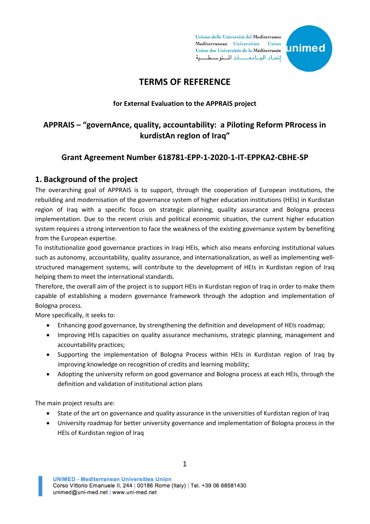Unione delle Università del Mediterraneo Mediterranean Universities Union Union des Universités de la Méditerranée اتحاد الجامعات المتوسطية



# **TERMS OF REFERENCE**

#### **for External Evaluation to the APPRAIS project**

# **APPRAIS – "governAnce, quality, accountability: a Piloting Reform PRrocess in kurdistAn regIon of Iraq"**

# **Grant Agreement Number 618781-EPP-1-2020-1-IT-EPPKA2-CBHE-SP**

## **1. Background of the project**

The overarching goal of APPRAIS is to support, through the cooperation of European institutions, the rebuilding and modernisation of the governance system of higher education institutions (HEIs) in Kurdistan region of Iraq with a specific focus on strategic planning, quality assurance and Bologna process implementation. Due to the recent crisis and political economic situation, the current higher education system requires a strong intervention to face the weakness of the existing governance system by benefiting from the European expertise.

To institutionalize good governance practices in Iraqi HEIs, which also means enforcing institutional values such as autonomy, accountability, quality assurance, and internationalization, as well as implementing wellstructured management systems, will contribute to the development of HEIs in Kurdistan region of Iraq helping them to meet the international standards.

Therefore, the overall aim of the project is to support HEIs in Kurdistan region of Iraq in order to make them capable of establishing a modern governance framework through the adoption and implementation of Bologna process.

More specifically, it seeks to:

- Enhancing good governance, by strengthening the definition and development of HEIs roadmap;
- Improving HEIs capacities on quality assurance mechanisms, strategic planning, management and accountability practices;
- Supporting the implementation of Bologna Process within HEIs in Kurdistan region of Iraq by improving knowledge on recognition of credits and learning mobility;
- Adopting the university reform on good governance and Bologna process at each HEIs, through the definition and validation of institutional action plans

The main project results are:

- State of the art on governance and quality assurance in the universities of Kurdistan region of Iraq
- University roadmap for better university governance and implementation of Bologna process in the HEIs of Kurdistan region of Iraq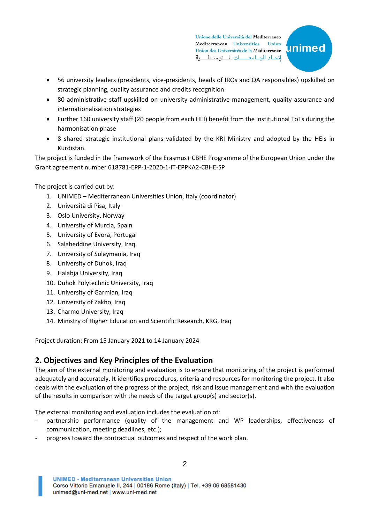Unione delle Università del Mediterraneo Mediterranean Universities Union Union des Universités de la Méditerranée اتحاد الجامعات للتوسطية



- 56 university leaders (presidents, vice-presidents, heads of IROs and QA responsibles) upskilled on strategic planning, quality assurance and credits recognition
- 80 administrative staff upskilled on university administrative management, quality assurance and internationalisation strategies
- Further 160 university staff (20 people from each HEI) benefit from the institutional ToTs during the harmonisation phase
- 8 shared strategic institutional plans validated by the KRI Ministry and adopted by the HEIs in Kurdistan.

The project is funded in the framework of the Erasmus+ CBHE Programme of the European Union under the Grant agreement number 618781-EPP-1-2020-1-IT-EPPKA2-CBHE-SP

The project is carried out by:

- 1. UNIMED Mediterranean Universities Union, Italy (coordinator)
- 2. Università di Pisa, Italy
- 3. Oslo University, Norway
- 4. University of Murcia, Spain
- 5. University of Evora, Portugal
- 6. Salaheddine University, Iraq
- 7. University of Sulaymania, Iraq
- 8. University of Duhok, Iraq
- 9. Halabja University, Iraq
- 10. Duhok Polytechnic University, Iraq
- 11. University of Garmian, Iraq
- 12. University of Zakho, Iraq
- 13. Charmo University, Iraq
- 14. Ministry of Higher Education and Scientific Research, KRG, Iraq

Project duration: From 15 January 2021 to 14 January 2024

# **2. Objectives and Key Principles of the Evaluation**

The aim of the external monitoring and evaluation is to ensure that monitoring of the project is performed adequately and accurately. It identifies procedures, criteria and resources for monitoring the project. It also deals with the evaluation of the progress of the project, risk and issue management and with the evaluation of the results in comparison with the needs of the target group(s) and sector(s).

The external monitoring and evaluation includes the evaluation of:

- partnership performance (quality of the management and WP leaderships, effectiveness of communication, meeting deadlines, etc.);
- progress toward the contractual outcomes and respect of the work plan.

**UNIMED - Mediterranean Universities Union** Corso Vittorio Emanuele II, 244 | 00186 Rome (Italy) | Tel. +39 06 68581430 unimed@uni-med.net | www.uni-med.net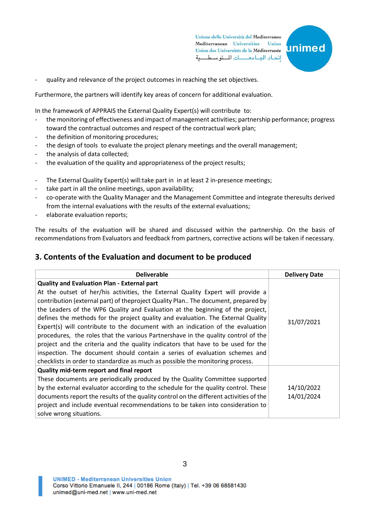Unione delle Università del Mediterraneo Mediterranean Universities Union Union des Universités de la Méditerranée اتحاد الجامعات للتوسطية



quality and relevance of the project outcomes in reaching the set objectives.

Furthermore, the partners will identify key areas of concern for additional evaluation.

In the framework of APPRAIS the External Quality Expert(s) will contribute to:

- the monitoring of effectiveness and impact of management activities; partnership performance; progress toward the contractual outcomes and respect of the contractual work plan;
- the definition of monitoring procedures;
- the design of tools to evaluate the project plenary meetings and the overall management;
- the analysis of data collected;
- the evaluation of the quality and appropriateness of the project results;
- The External Quality Expert(s) will:take part in in at least 2 in-presence meetings;
- take part in all the online meetings, upon availability;
- co-operate with the Quality Manager and the Management Committee and integrate theresults derived from the internal evaluations with the results of the external evaluations;
- elaborate evaluation reports;

The results of the evaluation will be shared and discussed within the partnership. On the basis of recommendations from Evaluators and feedback from partners, corrective actions will be taken if necessary.

#### **3. Contents of the Evaluation and document to be produced**

| <b>Deliverable</b>                                                                     | <b>Delivery Date</b> |
|----------------------------------------------------------------------------------------|----------------------|
| <b>Quality and Evaluation Plan - External part</b>                                     |                      |
| At the outset of her/his activities, the External Quality Expert will provide a        |                      |
| contribution (external part) of theproject Quality Plan The document, prepared by      |                      |
| the Leaders of the WP6 Quality and Evaluation at the beginning of the project,         |                      |
| defines the methods for the project quality and evaluation. The External Quality       | 31/07/2021           |
| Expert(s) will contribute to the document with an indication of the evaluation         |                      |
| procedures, the roles that the various Partnershave in the quality control of the      |                      |
| project and the criteria and the quality indicators that have to be used for the       |                      |
| inspection. The document should contain a series of evaluation schemes and             |                      |
| checklists in order to standardize as much as possible the monitoring process.         |                      |
| Quality mid-term report and final report                                               |                      |
| These documents are periodically produced by the Quality Committee supported           |                      |
| by the external evaluator according to the schedule for the quality control. These     | 14/10/2022           |
| documents report the results of the quality control on the different activities of the | 14/01/2024           |
| project and include eventual recommendations to be taken into consideration to         |                      |
| solve wrong situations.                                                                |                      |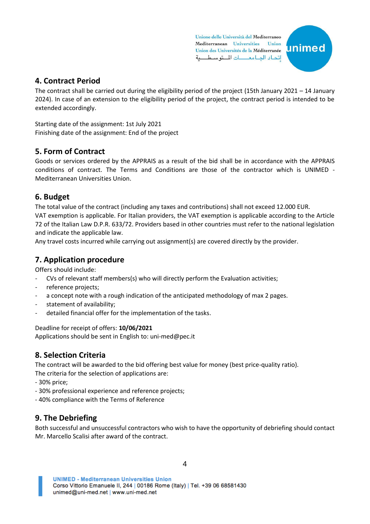Unione delle Università del Mediterraneo Mediterranean Universities Union Union des Universités de la Méditerranée اتحاد الجامعات المتوسطية



## **4. Contract Period**

The contract shall be carried out during the eligibility period of the project (15th January 2021 – 14 January 2024). In case of an extension to the eligibility period of the project, the contract period is intended to be extended accordingly.

Starting date of the assignment: 1st July 2021 Finishing date of the assignment: End of the project

## **5. Form of Contract**

Goods or services ordered by the APPRAIS as a result of the bid shall be in accordance with the APPRAIS conditions of contract. The Terms and Conditions are those of the contractor which is UNIMED - Mediterranean Universities Union.

### **6. Budget**

The total value of the contract (including any taxes and contributions) shall not exceed 12.000 EUR. VAT exemption is applicable. For Italian providers, the VAT exemption is applicable according to the Article 72 of the Italian Law D.P.R. 633/72. Providers based in other countries must refer to the national legislation and indicate the applicable law.

Any travel costs incurred while carrying out assignment(s) are covered directly by the provider.

### **7. Application procedure**

Offers should include:

- CVs of relevant staff members(s) who will directly perform the Evaluation activities;
- reference projects;
- a concept note with a rough indication of the anticipated methodology of max 2 pages.
- statement of availability;
- detailed financial offer for the implementation of the tasks.

#### Deadline for receipt of offers: **10/06/2021**

Applications should be sent in English to: uni-med@pec.it

# **8. Selection Criteria**

The contract will be awarded to the bid offering best value for money (best price-quality ratio).

The criteria for the selection of applications are:

- 30% price;
- 30% professional experience and reference projects;
- 40% compliance with the Terms of Reference

# **9. The Debriefing**

Both successful and unsuccessful contractors who wish to have the opportunity of debriefing should contact Mr. Marcello Scalisi after award of the contract.